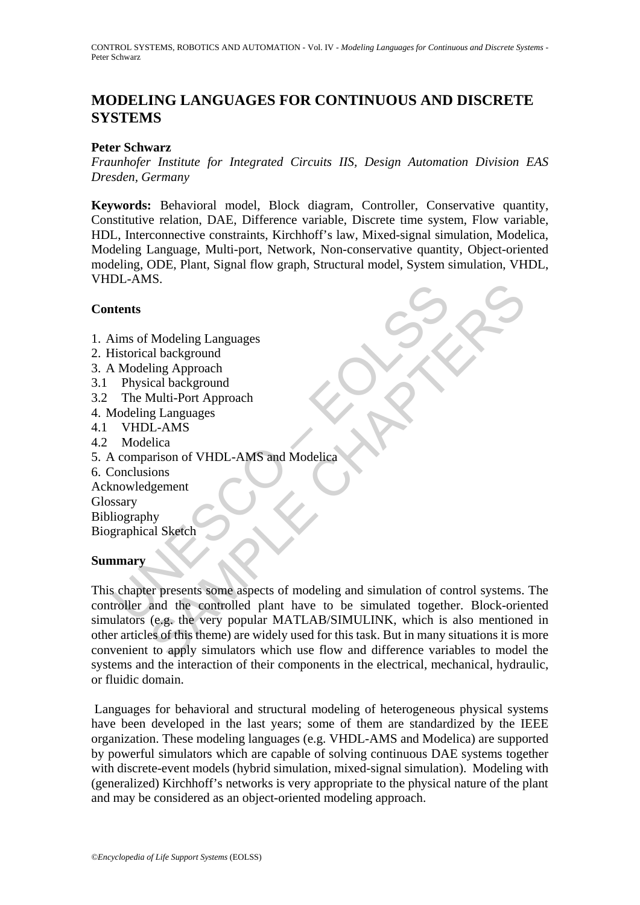# **MODELING LANGUAGES FOR CONTINUOUS AND DISCRETE SYSTEMS**

## **Peter Schwarz**

*Fraunhofer Institute for Integrated Circuits IIS, Design Automation Division EAS Dresden, Germany* 

**Keywords:** Behavioral model, Block diagram, Controller, Conservative quantity, Constitutive relation, DAE, Difference variable, Discrete time system, Flow variable, HDL, Interconnective constraints, Kirchhoff's law, Mixed-signal simulation, Modelica, Modeling Language, Multi-port, Network, Non-conservative quantity, Object-oriented modeling, ODE, Plant, Signal flow graph, Structural model, System simulation, VHDL, VHDL-AMS.

## **Contents**

- 1. Aims of Modeling Languages
- 2. Historical background
- 3. A Modeling Approach
- 3.1 Physical background
- 3.2 The Multi-Port Approach
- 4. Modeling Languages
- 4.1 VHDL-AMS
- 4.2 Modelica
- 5. A comparison of VHDL-AMS and Modelica
- 6. Conclusions

Acknowledgement Glossary Bibliography

Biographical Sketch

### **Summary**

The Samman Control of Modeling Languages<br>
Modeling Languages<br>
Modeling Approach<br>
Modeling Languages<br>
Modeling Languages<br>
VHDL-AMS<br>
Modeling Languages<br>
VHDL-AMS<br>
Modeling Languages<br>
VHDL-AMS<br>
Modeling Languages<br>
VIDL-AMS<br>
C So.<br>
So.<br>
Modeling Languages<br>
al background<br>
dului-Port Approach<br>
dului-Port Approach<br>
g Languages<br>
g Languages<br>
L-AMS<br>
al Sketch<br>
(e.g. the very popular MATLABS and Modelica<br>
ans<br>
signement<br>
by<br>
al Sketch<br>
(e.g. the very This chapter presents some aspects of modeling and simulation of control systems. The controller and the controlled plant have to be simulated together. Block-oriented simulators (e.g. the very popular MATLAB/SIMULINK, which is also mentioned in other articles of this theme) are widely used for this task. But in many situations it is more convenient to apply simulators which use flow and difference variables to model the systems and the interaction of their components in the electrical, mechanical, hydraulic, or fluidic domain.

 Languages for behavioral and structural modeling of heterogeneous physical systems have been developed in the last years; some of them are standardized by the IEEE organization. These modeling languages (e.g. VHDL-AMS and Modelica) are supported by powerful simulators which are capable of solving continuous DAE systems together with discrete-event models (hybrid simulation, mixed-signal simulation). Modeling with (generalized) Kirchhoff's networks is very appropriate to the physical nature of the plant and may be considered as an object-oriented modeling approach.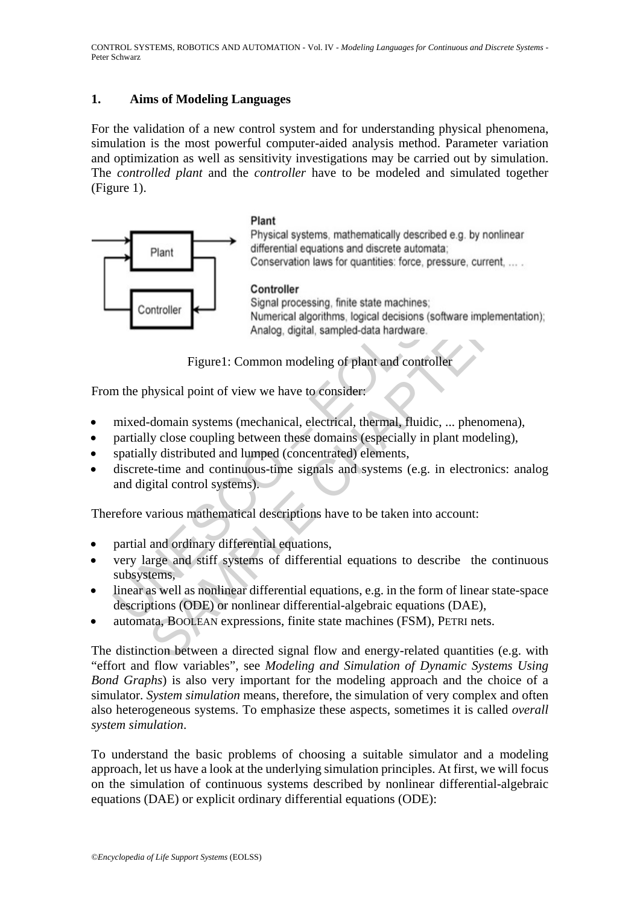## **1. Aims of Modeling Languages**

For the validation of a new control system and for understanding physical phenomena, simulation is the most powerful computer-aided analysis method. Parameter variation and optimization as well as sensitivity investigations may be carried out by simulation. The *controlled plant* and the *controller* have to be modeled and simulated together (Figure 1).



Figure1: Common modeling of plant and controller

From the physical point of view we have to consider:

- mixed-domain systems (mechanical, electrical, thermal, fluidic, ... phenomena),
- partially close coupling between these domains (especially in plant modeling),
- spatially distributed and lumped (concentrated) elements,
- discrete-time and continuous-time signals and systems (e.g. in electronics: analog and digital control systems).

Therefore various mathematical descriptions have to be taken into account:

- partial and ordinary differential equations,
- very large and stiff systems of differential equations to describe the continuous subsystems.
- linear as well as nonlinear differential equations, e.g. in the form of linear state-space descriptions (ODE) or nonlinear differential-algebraic equations (DAE),
- automata, BOOLEAN expressions, finite state machines (FSM), PETRI nets.

The distinction between a directed signal flow and energy-related quantities (e.g. with "effort and flow variables", see *Modeling and Simulation of Dynamic Systems Using Bond Graphs*) is also very important for the modeling approach and the choice of a simulator. *System simulation* means, therefore, the simulation of very complex and often also heterogeneous systems. To emphasize these aspects, sometimes it is called *overall system simulation*.

To understand the basic problems of choosing a suitable simulator and a modeling approach, let us have a look at the underlying simulation principles. At first, we will focus on the simulation of continuous systems described by nonlinear differential-algebraic equations (DAE) or explicit ordinary differential equations (ODE):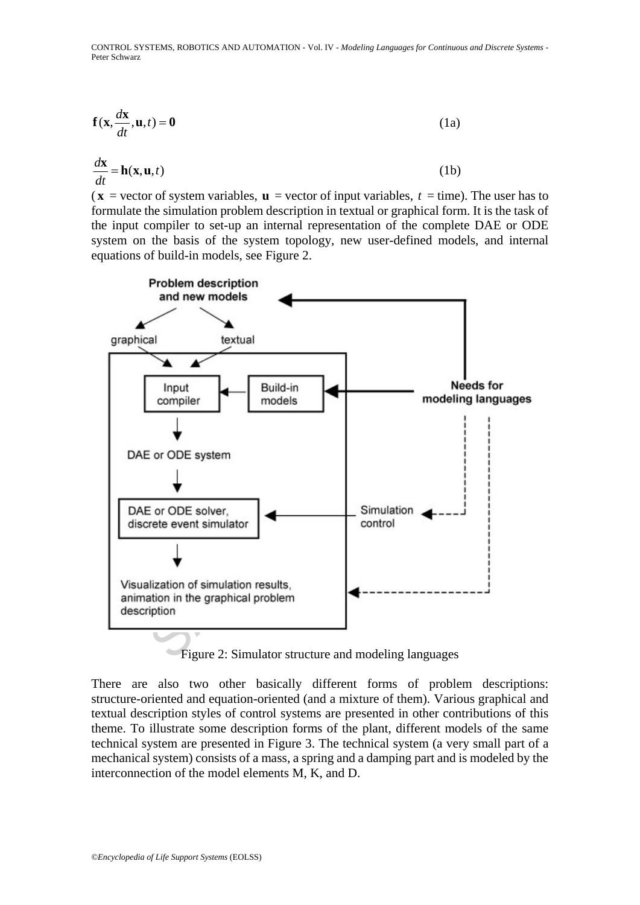$$
\mathbf{f}(\mathbf{x}, \frac{d\mathbf{x}}{dt}, \mathbf{u}, t) = \mathbf{0}
$$
 (1a)

$$
\frac{d\mathbf{x}}{dt} = \mathbf{h}(\mathbf{x}, \mathbf{u}, t) \tag{1b}
$$

 $({\bf x}$  = vector of system variables,  ${\bf u}$  = vector of input variables,  $t$  = time). The user has to formulate the simulation problem description in textual or graphical form. It is the task of the input compiler to set-up an internal representation of the complete DAE or ODE system on the basis of the system topology, new user-defined models, and internal equations of build-in models, see Figure 2.



There are also two other basically different forms of problem descriptions: structure-oriented and equation-oriented (and a mixture of them). Various graphical and textual description styles of control systems are presented in other contributions of this

theme. To illustrate some description forms of the plant, different models of the same technical system are presented in Figure 3. The technical system (a very small part of a mechanical system) consists of a mass, a spring and a damping part and is modeled by the interconnection of the model elements M, K, and D.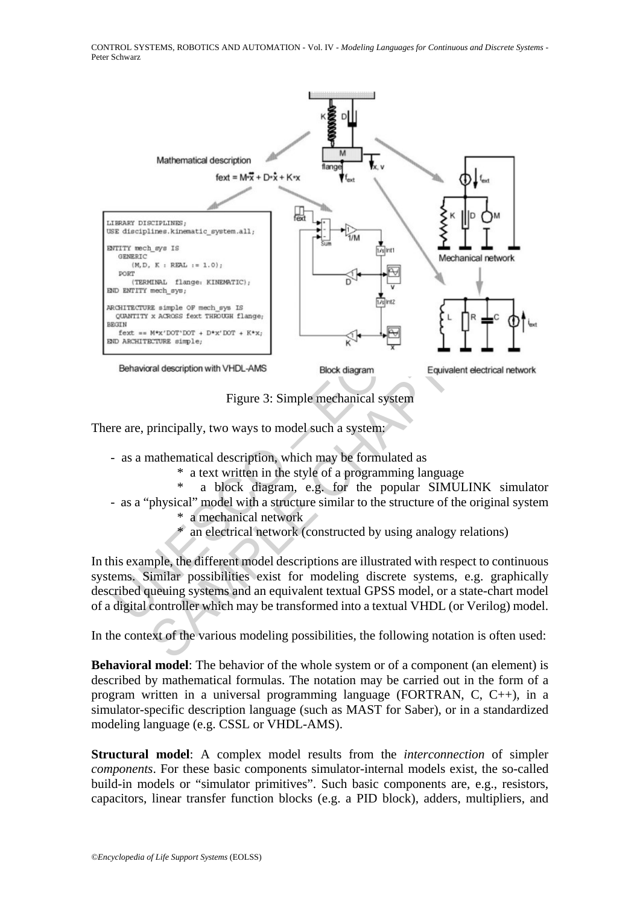

Figure 3: Simple mechanical system

There are, principally, two ways to model such a system:

- as a mathematical description, which may be formulated as
	- \* a text written in the style of a programming language
	- a block diagram, e.g. for the popular SIMULINK simulator
- as a "physical" model with a structure similar to the structure of the original system
	- \* a mechanical network
		- an electrical network (constructed by using analogy relations)

In this example, the different model descriptions are illustrated with respect to continuous systems. Similar possibilities exist for modeling discrete systems, e.g. graphically described queuing systems and an equivalent textual GPSS model, or a state-chart model of a digital controller which may be transformed into a textual VHDL (or Verilog) model.

In the context of the various modeling possibilities, the following notation is often used:

**Behavioral model**: The behavior of the whole system or of a component (an element) is described by mathematical formulas. The notation may be carried out in the form of a program written in a universal programming language (FORTRAN, C, C++), in a simulator-specific description language (such as MAST for Saber), or in a standardized modeling language (e.g. CSSL or VHDL-AMS).

**Structural model**: A complex model results from the *interconnection* of simpler *components*. For these basic components simulator-internal models exist, the so-called build-in models or "simulator primitives". Such basic components are, e.g., resistors, capacitors, linear transfer function blocks (e.g. a PID block), adders, multipliers, and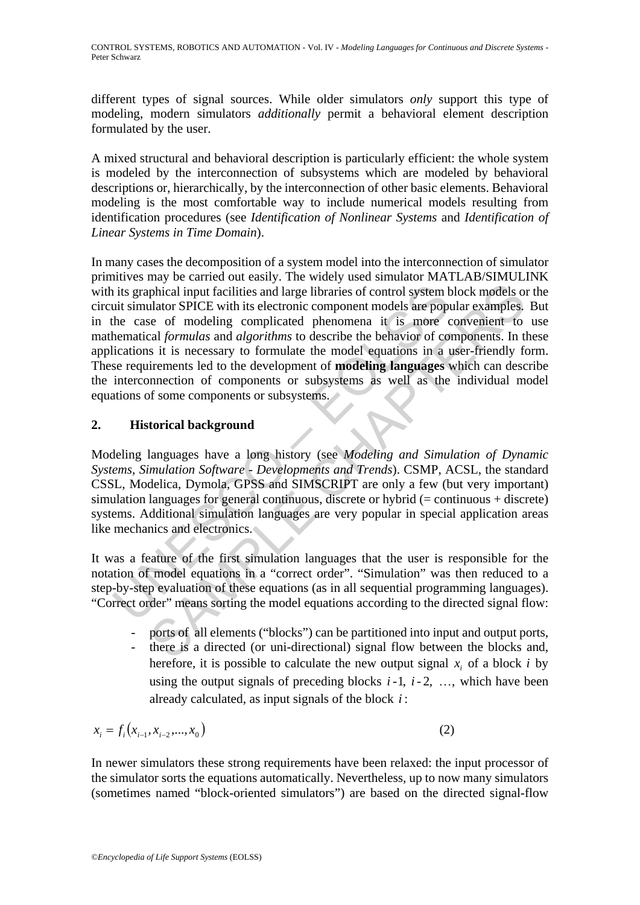different types of signal sources. While older simulators *only* support this type of modeling, modern simulators *additionally* permit a behavioral element description formulated by the user.

A mixed structural and behavioral description is particularly efficient: the whole system is modeled by the interconnection of subsystems which are modeled by behavioral descriptions or, hierarchically, by the interconnection of other basic elements. Behavioral modeling is the most comfortable way to include numerical models resulting from identification procedures (see *Identification of Nonlinear Systems* and *Identification of Linear Systems in Time Domain*).

is its graphical input facilities and large libraries of control system buit simulator SPICE with its electronic component models are pop-<br>the case of modeling complicated phenomena it is more chematical formulas and algor phical input facilities and large libraries of control system block models or<br>alator SPICE with its electronic component models are popular examples.<br>ee of modeling complicated phenomena it is more convenient to<br>call *form* In many cases the decomposition of a system model into the interconnection of simulator primitives may be carried out easily. The widely used simulator MATLAB/SIMULINK with its graphical input facilities and large libraries of control system block models or the circuit simulator SPICE with its electronic component models are popular examples. But in the case of modeling complicated phenomena it is more convenient to use mathematical *formulas* and *algorithms* to describe the behavior of components. In these applications it is necessary to formulate the model equations in a user-friendly form. These requirements led to the development of **modeling languages** which can describe the interconnection of components or subsystems as well as the individual model equations of some components or subsystems.

# **2. Historical background**

Modeling languages have a long history (see *Modeling and Simulation of Dynamic Systems*, *Simulation Software - Developments and Trends*). CSMP, ACSL, the standard CSSL, Modelica, Dymola, GPSS and SIMSCRIPT are only a few (but very important) simulation languages for general continuous, discrete or hybrid (= continuous + discrete) systems. Additional simulation languages are very popular in special application areas like mechanics and electronics.

It was a feature of the first simulation languages that the user is responsible for the notation of model equations in a "correct order". "Simulation" was then reduced to a step-by-step evaluation of these equations (as in all sequential programming languages). "Correct order" means sorting the model equations according to the directed signal flow:

- ports of all elements ("blocks") can be partitioned into input and output ports,
- there is a directed (or uni-directional) signal flow between the blocks and, herefore, it is possible to calculate the new output signal  $x_i$  of a block  $i$  by using the output signals of preceding blocks  $i-1$ ,  $i-2$ , ..., which have been already calculated, as input signals of the block *i* :

$$
x_i = f_i(x_{i-1}, x_{i-2}, \dots, x_0) \tag{2}
$$

In newer simulators these strong requirements have been relaxed: the input processor of the simulator sorts the equations automatically. Nevertheless, up to now many simulators (sometimes named "block-oriented simulators") are based on the directed signal-flow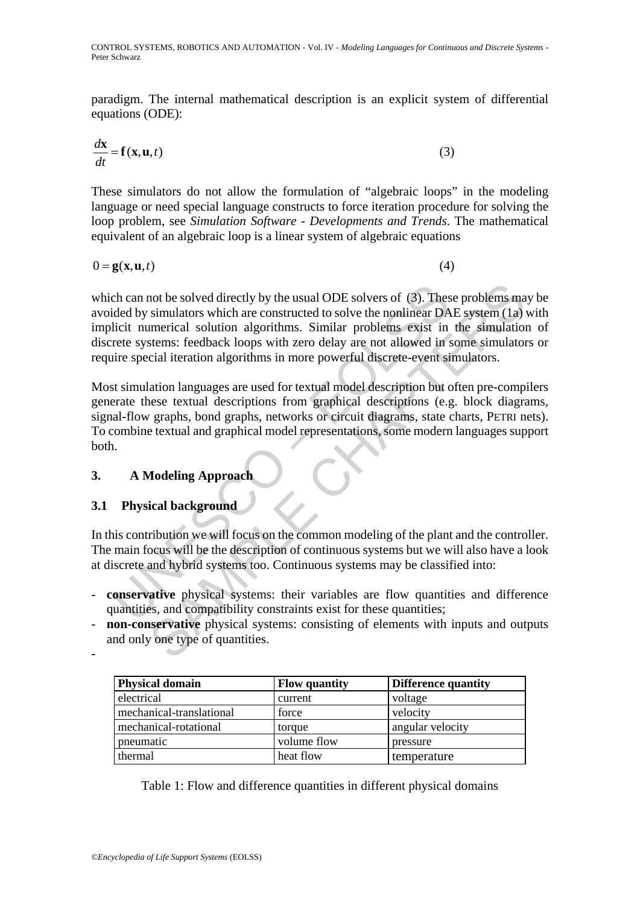paradigm. The internal mathematical description is an explicit system of differential equations (ODE):

$$
\frac{d\mathbf{x}}{dt} = \mathbf{f}(\mathbf{x}, \mathbf{u}, t) \tag{3}
$$

These simulators do not allow the formulation of "algebraic loops" in the modeling language or need special language constructs to force iteration procedure for solving the loop problem, see *Simulation Software - Developments and Trends*. The mathematical equivalent of an algebraic loop is a linear system of algebraic equations

 $0 = \mathbf{g}(\mathbf{x}, \mathbf{u}, t)$  (4)

Compared to the solved directly by the usual ODE solvers of (3). The<br>sided by simulators which are constructed to solve the nonlinear DA<br>licit numerical solution algorithms. Similar problems exist in<br>rete systems: feedback not be solved directly by the usual ODE solvers of (3). These problems ma<br>simulators which are constructed to solve the nonlinear DAE system (1a)<br>umerical solution algorithms. Similar problems exist in the simulatio<br>terms: which can not be solved directly by the usual ODE solvers of (3). These problems may be avoided by simulators which are constructed to solve the nonlinear DAE system (1a) with implicit numerical solution algorithms. Similar problems exist in the simulation of discrete systems: feedback loops with zero delay are not allowed in some simulators or require special iteration algorithms in more powerful discrete-event simulators.

Most simulation languages are used for textual model description but often pre-compilers generate these textual descriptions from graphical descriptions (e.g. block diagrams, signal-flow graphs, bond graphs, networks or circuit diagrams, state charts, PETRI nets). To combine textual and graphical model representations, some modern languages support both.

# **3. A Modeling Approach**

# **3.1 Physical background**

-

In this contribution we will focus on the common modeling of the plant and the controller. The main focus will be the description of continuous systems but we will also have a look at discrete and hybrid systems too. Continuous systems may be classified into:

- **conservative** physical systems: their variables are flow quantities and difference quantities, and compatibility constraints exist for these quantities;
- **non-conservative** physical systems: consisting of elements with inputs and outputs and only one type of quantities.

| <b>Physical domain</b>   | <b>Flow quantity</b> | <b>Difference quantity</b> |
|--------------------------|----------------------|----------------------------|
| electrical               | current              | voltage                    |
| mechanical-translational | force                | velocity                   |
| mechanical-rotational    | torque               | angular velocity           |
| pneumatic                | volume flow          | pressure                   |
| thermal                  | heat flow            | temperature                |

Table 1: Flow and difference quantities in different physical domains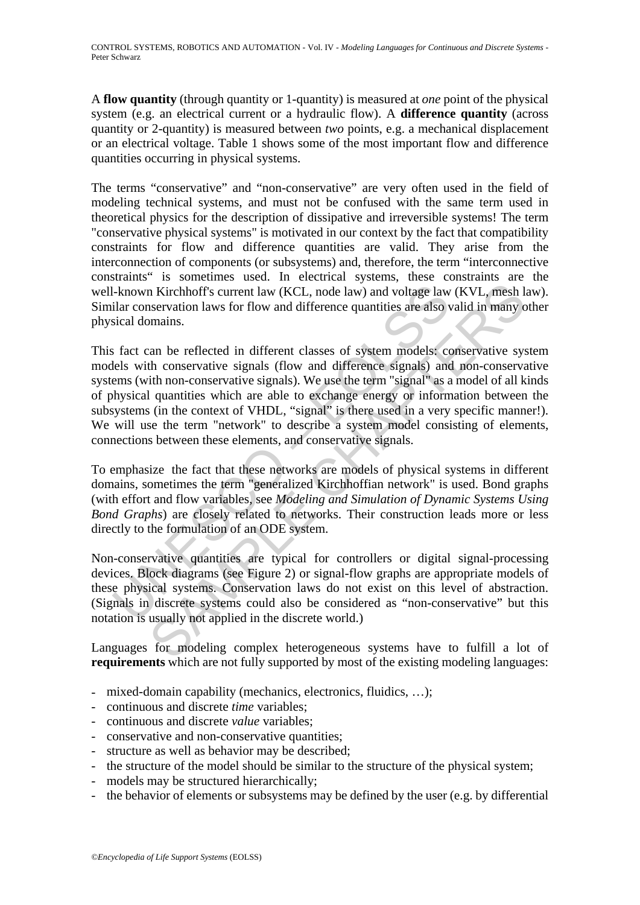A **flow quantity** (through quantity or 1-quantity) is measured at *one* point of the physical system (e.g. an electrical current or a hydraulic flow). A **difference quantity** (across quantity or 2-quantity) is measured between *two* points, e.g. a mechanical displacement or an electrical voltage. Table 1 shows some of the most important flow and difference quantities occurring in physical systems.

The terms "conservative" and "non-conservative" are very often used in the field of modeling technical systems, and must not be confused with the same term used in theoretical physics for the description of dissipative and irreversible systems! The term "conservative physical systems" is motivated in our context by the fact that compatibility constraints for flow and difference quantities are valid. They arise from the interconnection of components (or subsystems) and, therefore, the term "interconnective constraints" is sometimes used. In electrical systems, these constraints are the well-known Kirchhoff's current law (KCL, node law) and voltage law (KVL, mesh law). Similar conservation laws for flow and difference quantities are also valid in many other physical domains.

I-known Kirchhoff's current law (KCL, node law) and voltage law<br>ilar conservation laws for flow and difference quantities are also y<br>sical domains.<br>So fact can be reflected in different classes of system models; co<br>felse w In Kirchhoff's current law (KCL, node law) and voltage law (KVL, mesh laservation laws for flow and difference quantities are also valid in many comains.<br>
shows that conservative signals). We use the term "signal" on on-co This fact can be reflected in different classes of system models: conservative system models with conservative signals (flow and difference signals) and non-conservative systems (with non-conservative signals). We use the term "signal" as a model of all kinds of physical quantities which are able to exchange energy or information between the subsystems (in the context of VHDL, "signal" is there used in a very specific manner!). We will use the term "network" to describe a system model consisting of elements, connections between these elements, and conservative signals.

To emphasize the fact that these networks are models of physical systems in different domains, sometimes the term "generalized Kirchhoffian network" is used. Bond graphs (with effort and flow variables, see *Modeling and Simulation of Dynamic Systems Using Bond Graphs*) are closely related to networks. Their construction leads more or less directly to the formulation of an ODE system.

Non-conservative quantities are typical for controllers or digital signal-processing devices. Block diagrams (see Figure 2) or signal-flow graphs are appropriate models of these physical systems. Conservation laws do not exist on this level of abstraction. (Signals in discrete systems could also be considered as "non-conservative" but this notation is usually not applied in the discrete world.)

Languages for modeling complex heterogeneous systems have to fulfill a lot of **requirements** which are not fully supported by most of the existing modeling languages:

- mixed-domain capability (mechanics, electronics, fluidics, …);
- continuous and discrete *time* variables;
- continuous and discrete *value* variables;
- conservative and non-conservative quantities;
- structure as well as behavior may be described;
- the structure of the model should be similar to the structure of the physical system;
- models may be structured hierarchically;
- the behavior of elements or subsystems may be defined by the user (e.g. by differential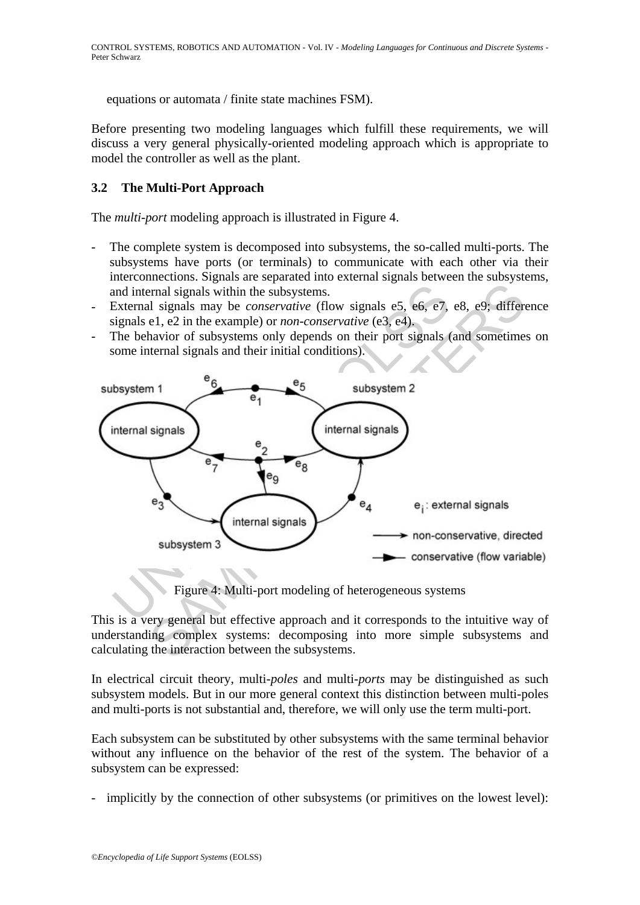equations or automata / finite state machines FSM).

Before presenting two modeling languages which fulfill these requirements, we will discuss a very general physically-oriented modeling approach which is appropriate to model the controller as well as the plant.

## **3.2 The Multi-Port Approach**

The *multi-port* modeling approach is illustrated in Figure 4.

- The complete system is decomposed into subsystems, the so-called multi-ports. The subsystems have ports (or terminals) to communicate with each other via their interconnections. Signals are separated into external signals between the subsystems, and internal signals within the subsystems.
- External signals may be *conservative* (flow signals e5, e6, e7, e8, e9; difference signals e1, e2 in the example) or *non-conservative* (e3, e4).
- The behavior of subsystems only depends on their port signals (and sometimes on some internal signals and their initial conditions).



Figure 4: Multi-port modeling of heterogeneous systems

This is a very general but effective approach and it corresponds to the intuitive way of understanding complex systems: decomposing into more simple subsystems and calculating the interaction between the subsystems.

In electrical circuit theory, multi-*poles* and multi-*ports* may be distinguished as such subsystem models. But in our more general context this distinction between multi-poles and multi-ports is not substantial and, therefore, we will only use the term multi-port.

Each subsystem can be substituted by other subsystems with the same terminal behavior without any influence on the behavior of the rest of the system. The behavior of a subsystem can be expressed:

- implicitly by the connection of other subsystems (or primitives on the lowest level):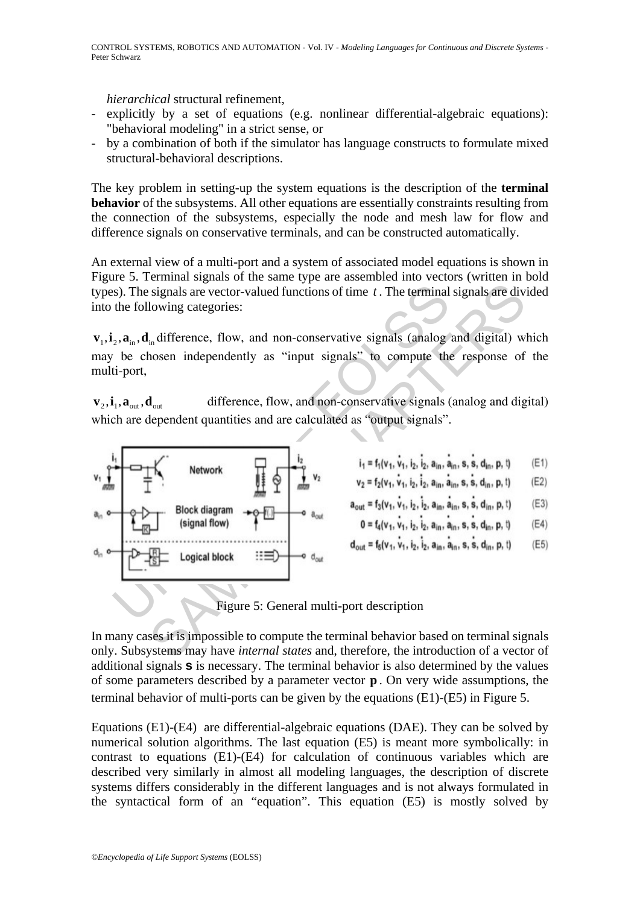*hierarchical* structural refinement,

- explicitly by a set of equations (e.g. nonlinear differential-algebraic equations): "behavioral modeling" in a strict sense, or
- by a combination of both if the simulator has language constructs to formulate mixed structural-behavioral descriptions.

The key problem in setting-up the system equations is the description of the **terminal behavior** of the subsystems. All other equations are essentially constraints resulting from the connection of the subsystems, especially the node and mesh law for flow and difference signals on conservative terminals, and can be constructed automatically.

An external view of a multi-port and a system of associated model equations is shown in Figure 5. Terminal signals of the same type are assembled into vectors (written in bold types). The signals are vector-valued functions of time *t* . The terminal signals are divided into the following categories:

 ${\bf v}_1, {\bf i}_2, {\bf a}_3, {\bf d}_4$  difference, flow, and non-conservative signals (analog and digital) which may be chosen independently as "input signals" to compute the response of the multi-port,

 $\mathbf{v}_2, \mathbf{i}_1, \mathbf{a}_{\text{out}}, \mathbf{d}_{\text{out}}$  difference, flow, and non-conservative signals (analog and digital) which are dependent quantities and are calculated as "output signals".



Figure 5: General multi-port description

In many cases it is impossible to compute the terminal behavior based on terminal signals only. Subsystems may have *internal states* and, therefore, the introduction of a vector of additional signals **s** is necessary. The terminal behavior is also determined by the values of some parameters described by a parameter vector **p** . On very wide assumptions, the terminal behavior of multi-ports can be given by the equations (E1)-(E5) in Figure 5.

Equations (E1)-(E4) are differential-algebraic equations (DAE). They can be solved by numerical solution algorithms. The last equation (E5) is meant more symbolically: in contrast to equations (E1)-(E4) for calculation of continuous variables which are described very similarly in almost all modeling languages, the description of discrete systems differs considerably in the different languages and is not always formulated in the syntactical form of an "equation". This equation (E5) is mostly solved by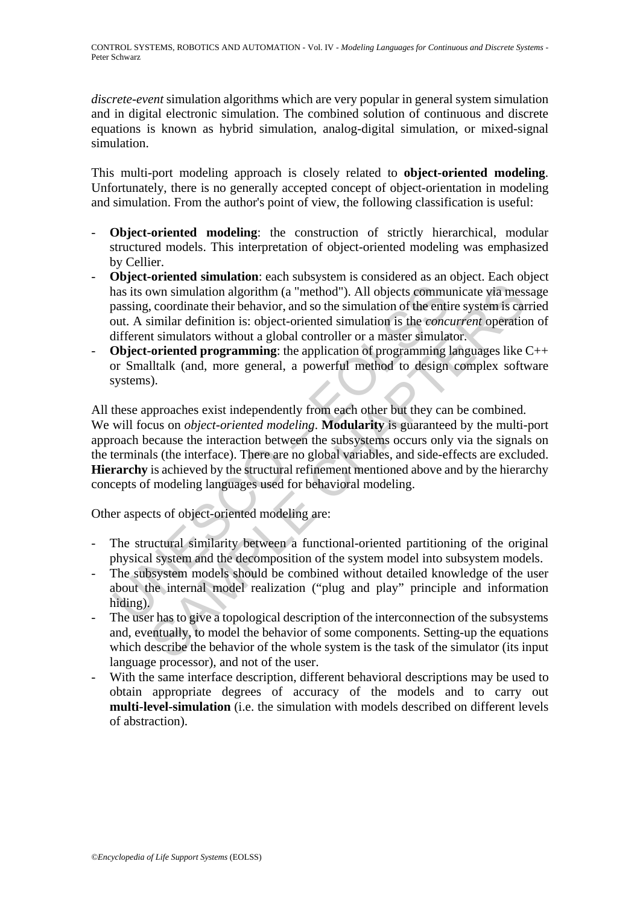*discrete-event* simulation algorithms which are very popular in general system simulation and in digital electronic simulation. The combined solution of continuous and discrete equations is known as hybrid simulation, analog-digital simulation, or mixed-signal simulation.

This multi-port modeling approach is closely related to **object-oriented modeling**. Unfortunately, there is no generally accepted concept of object-orientation in modeling and simulation. From the author's point of view, the following classification is useful:

- **Object-oriented modeling**: the construction of strictly hierarchical, modular structured models. This interpretation of object-oriented modeling was emphasized by Cellier.
- **Object-oriented simulation**: each subsystem is considered as an object. Each object has its own simulation algorithm (a "method"). All objects communicate via message passing, coordinate their behavior, and so the simulation of the entire system is carried out. A similar definition is: object-oriented simulation is the *concurrent* operation of different simulators without a global controller or a master simulator.
- **Object-oriented programming**: the application of programming languages like C++ or Smalltalk (and, more general, a powerful method to design complex software systems).

has its own simulation algorithm (a "method"). All objects community<br>aasiing, coordinate their behavior, and so the simulation of the entity<br>out. A similar definition is: object-oriented simulation is the *conce*<br>different by simulation algorithm (a "method"). All objects communicate via mess, coordinate their behavior, and so the simulation of the entire system is cannot at simulation is: object-oriented simulation is the *emeturent* operat All these approaches exist independently from each other but they can be combined. We will focus on *object-oriented modeling*. **Modularity** is guaranteed by the multi-port approach because the interaction between the subsystems occurs only via the signals on the terminals (the interface). There are no global variables, and side-effects are excluded. **Hierarchy** is achieved by the structural refinement mentioned above and by the hierarchy concepts of modeling languages used for behavioral modeling.

Other aspects of object-oriented modeling are:

- The structural similarity between a functional-oriented partitioning of the original physical system and the decomposition of the system model into subsystem models.
- The subsystem models should be combined without detailed knowledge of the user about the internal model realization ("plug and play" principle and information hiding).
- The user has to give a topological description of the interconnection of the subsystems and, eventually, to model the behavior of some components. Setting-up the equations which describe the behavior of the whole system is the task of the simulator (its input language processor), and not of the user.
- With the same interface description, different behavioral descriptions may be used to obtain appropriate degrees of accuracy of the models and to carry out **multi-level-simulation** (i.e. the simulation with models described on different levels of abstraction).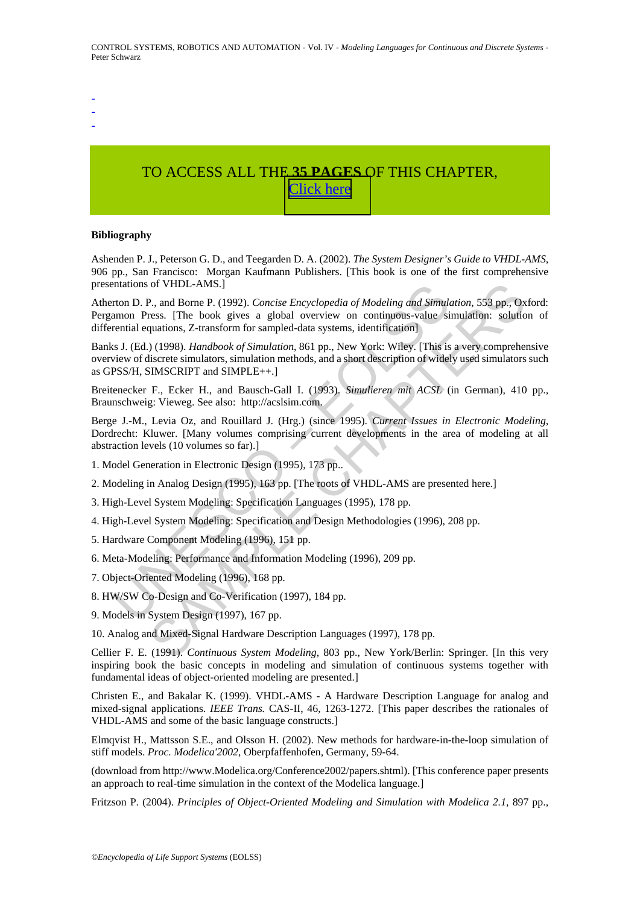-

-

-

# TO ACCESS ALL THE **35 PAGES** OF THIS CHAPTER, [C](https://www.eolss.net/ebooklib/sc_cart.aspx?File=E6-43-07-06)[lick here](http://www.eolss.net/Eolss-sampleAllChapter.aspx)

#### **Bibliography**

Ashenden P. J., Peterson G. D., and Teegarden D. A. (2002). *The System Designer's Guide to VHDL-AMS*, 906 pp., San Francisco: Morgan Kaufmann Publishers. [This book is one of the first comprehensive presentations of VHDL-AMS.]

Atherton D. P., and Borne P. (1992). *Concise Encyclopedia of Modeling and Simulation*, 553 pp., Oxford: Pergamon Press. [The book gives a global overview on continuous-value simulation: solution of differential equations, Z-transform for sampled-data systems, identification]

Banks J. (Ed.) (1998). *Handbook of Simulation*, 861 pp., New York: Wiley. [This is a very comprehensive overview of discrete simulators, simulation methods, and a short description of widely used simulators such as GPSS/H, SIMSCRIPT and SIMPLE++.]

Breitenecker F., Ecker H., and Bausch-Gall I. (1993). *Simulieren mit ACSL* (in German), 410 pp., Braunschweig: Vieweg. See also: http://acslsim.com.

entations of VHDL-AMS.]<br>
rton D. P., and Borne P. (1992). *Concise Encyclopedia of Modeling and Simula*<br>
manon Press. [The book gives a global overview on continuous-value si<br>
manon Press. [The book gives a global overview or WHDL-AMS.]<br>
2P., and Borne P. (1992). Concise Encyclopedia of Modeling and Simulation, 553 pp., Ox<br>
2P., and Borne P. (1992). Concise Encyclopedia of Modeling and Simulation: solutio<br>
quations, Z-transform for sampled-d Berge J.-M., Levia Oz, and Rouillard J. (Hrg.) (since 1995). *Current Issues in Electronic Modeling*, Dordrecht: Kluwer. [Many volumes comprising current developments in the area of modeling at all abstraction levels (10 volumes so far).]

- 1. Model Generation in Electronic Design (1995), 173 pp..
- 2. Modeling in Analog Design (1995), 163 pp. [The roots of VHDL-AMS are presented here.]
- 3. High-Level System Modeling: Specification Languages (1995), 178 pp.
- 4. High-Level System Modeling: Specification and Design Methodologies (1996), 208 pp.
- 5. Hardware Component Modeling (1996), 151 pp.
- 6. Meta-Modeling: Performance and Information Modeling (1996), 209 pp.
- 7. Object-Oriented Modeling (1996), 168 pp.
- 8. HW/SW Co-Design and Co-Verification (1997), 184 pp.
- 9. Models in System Design (1997), 167 pp.

10. Analog and Mixed-Signal Hardware Description Languages (1997), 178 pp.

Cellier F. E. (1991). *Continuous System Modeling*, 803 pp., New York/Berlin: Springer. [In this very inspiring book the basic concepts in modeling and simulation of continuous systems together with fundamental ideas of object-oriented modeling are presented.]

Christen E., and Bakalar K. (1999). VHDL-AMS - A Hardware Description Language for analog and mixed-signal applications. *IEEE Trans.* CAS-II, 46, 1263-1272. [This paper describes the rationales of VHDL-AMS and some of the basic language constructs.]

Elmqvist H., Mattsson S.E., and Olsson H. (2002). New methods for hardware-in-the-loop simulation of stiff models. *Proc. Modelica'2002*, Oberpfaffenhofen, Germany, 59-64.

(download from http://www.Modelica.org/Conference2002/papers.shtml). [This conference paper presents an approach to real-time simulation in the context of the Modelica language.]

Fritzson P. (2004). *Principles of Object-Oriented Modeling and Simulation with Modelica 2.1*, 897 pp.,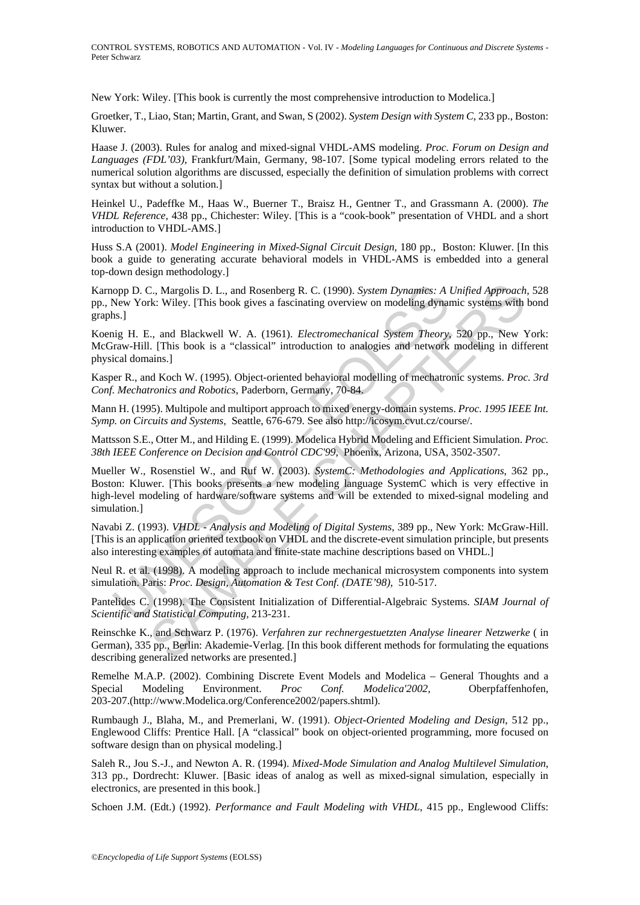New York: Wiley. [This book is currently the most comprehensive introduction to Modelica.]

Groetker, T., Liao, Stan; Martin, Grant, and Swan, S (2002). *System Design with System C*, 233 pp., Boston: Kluwer.

Haase J. (2003). Rules for analog and mixed-signal VHDL-AMS modeling. *Proc. Forum on Design and Languages (FDL'03)*, Frankfurt/Main, Germany, 98-107. [Some typical modeling errors related to the numerical solution algorithms are discussed, especially the definition of simulation problems with correct syntax but without a solution.]

Heinkel U., Padeffke M., Haas W., Buerner T., Braisz H., Gentner T., and Grassmann A. (2000). *The VHDL Reference*, 438 pp., Chichester: Wiley. [This is a "cook-book" presentation of VHDL and a short introduction to VHDL-AMS.]

Huss S.A (2001). *Model Engineering in Mixed-Signal Circuit Design,* 180 pp., Boston: Kluwer. [In this book a guide to generating accurate behavioral models in VHDL-AMS is embedded into a general top-down design methodology.]

Karnopp D. C., Margolis D. L., and Rosenberg R. C. (1990). *System Dynamics: A Unified Approach*, 528 pp., New York: Wiley. [This book gives a fascinating overview on modeling dynamic systems with bond graphs.]

Koenig H. E., and Blackwell W. A. (1961). *Electromechanical System Theory*, 520 pp., New York: McGraw-Hill. [This book is a "classical" introduction to analogies and network modeling in different physical domains.]

Kasper R., and Koch W. (1995). Object-oriented behavioral modelling of mechatronic systems. *Proc. 3rd Conf. Mechatronics and Robotics*, Paderborn, Germany, 70-84.

Mann H. (1995). Multipole and multiport approach to mixed energy-domain systems. *Proc. 1995 IEEE Int. Symp. on Circuits and Systems,* Seattle, 676-679. See also http://icosym.cvut.cz/course/.

Mattsson S.E., Otter M., and Hilding E. (1999). Modelica Hybrid Modeling and Efficient Simulation. *Proc. 38th IEEE Conference on Decision and Control CDC'99*, Phoenix, Arizona, USA, 3502-3507.

opp D. C., Margolis D. L., and Rosenberg R. C. (1990). *System Dynamies: A* Now York: Wiley. [This book gives a fascinating overview on modeling dynamics: A New York: Wiley. [This book gives a fascinating overview on model C., Margolis D. L., and Rosenberg R. C. (1990). System Dynamies: A Unified Approach<br>
K. Wiley. [This book gives a fascinating overview on modeling dynamic systems with<br>
L., and Blackwell W. A. (1961). *Electromechanical Sy* Mueller W., Rosenstiel W., and Ruf W. (2003). *SystemC: Methodologies and Applications*, 362 pp., Boston: Kluwer. [This books presents a new modeling language SystemC which is very effective in high-level modeling of hardware/software systems and will be extended to mixed-signal modeling and simulation.]

Navabi Z. (1993). *VHDL - Analysis and Modeling of Digital Systems*, 389 pp., New York: McGraw-Hill. [This is an application oriented textbook on VHDL and the discrete-event simulation principle, but presents also interesting examples of automata and finite-state machine descriptions based on VHDL.]

Neul R. et al. (1998). A modeling approach to include mechanical microsystem components into system simulation. Paris: *Proc. Design, Automation & Test Conf. (DATE'98),* 510-517.

Pantelides C. (1998). The Consistent Initialization of Differential-Algebraic Systems. *SIAM Journal of Scientific and Statistical Computing,* 213-231.

Reinschke K., and Schwarz P. (1976). *Verfahren zur rechnergestuetzten Analyse linearer Netzwerke* ( in German), 335 pp., Berlin: Akademie-Verlag. [In this book different methods for formulating the equations describing generalized networks are presented.]

Remelhe M.A.P. (2002). Combining Discrete Event Models and Modelica – General Thoughts and a Special Modeling Environment. *Proc Conf. Modelica* 2002, Oberpfaffenhofen. Special Modeling Environment. *Proc Conf. Modelica'2002*, Oberpfaffenhofen, 203-207.(http://www.Modelica.org/Conference2002/papers.shtml).

Rumbaugh J., Blaha, M., and Premerlani, W. (1991). *Object-Oriented Modeling and Design*, 512 pp., Englewood Cliffs: Prentice Hall. [A "classical" book on object-oriented programming, more focused on software design than on physical modeling.]

Saleh R., Jou S.-J., and Newton A. R. (1994). *Mixed-Mode Simulation and Analog Multilevel Simulation*, 313 pp., Dordrecht: Kluwer. [Basic ideas of analog as well as mixed-signal simulation, especially in electronics, are presented in this book.]

Schoen J.M. (Edt.) (1992). *Performance and Fault Modeling with VHDL*, 415 pp., Englewood Cliffs: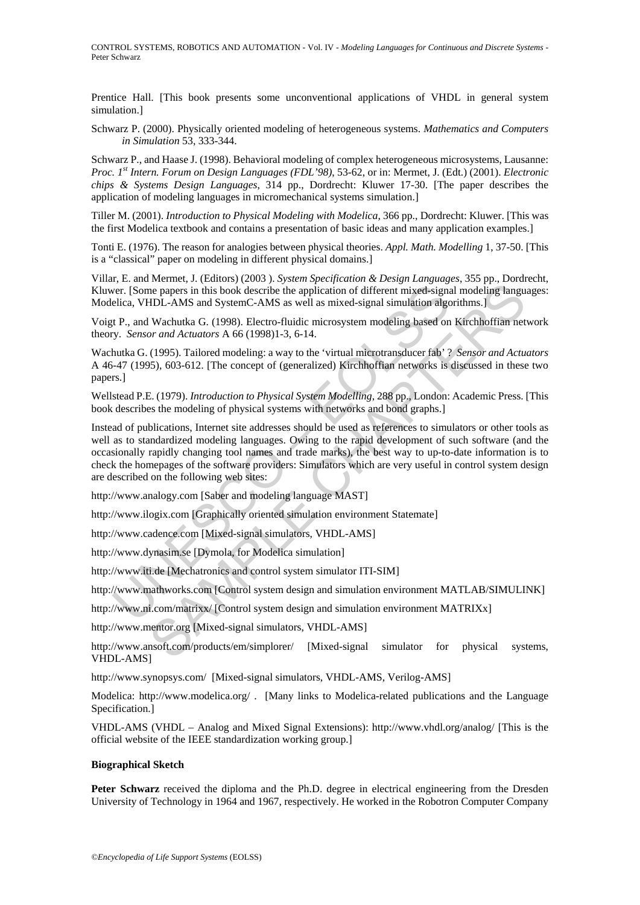Prentice Hall. [This book presents some unconventional applications of VHDL in general system simulation.]

Schwarz P. (2000). Physically oriented modeling of heterogeneous systems. *Mathematics and Computers in Simulation* 53, 333-344.

Schwarz P., and Haase J. (1998). Behavioral modeling of complex heterogeneous microsystems, Lausanne: *Proc. 1st Intern. Forum on Design Languages (FDL'98)*, 53-62, or in: Mermet, J. (Edt.) (2001). *Electronic chips & Systems Design Languages*, 314 pp., Dordrecht: Kluwer 17-30. [The paper describes the application of modeling languages in micromechanical systems simulation.]

Tiller M. (2001). *Introduction to Physical Modeling with Modelica*, 366 pp., Dordrecht: Kluwer. [This was the first Modelica textbook and contains a presentation of basic ideas and many application examples.]

Tonti E. (1976). The reason for analogies between physical theories. *Appl. Math. Modelling* 1, 37-50. [This is a "classical" paper on modeling in different physical domains.]

Villar, E. and Mermet, J. (Editors) (2003 ). *System Specification & Design Languages*, 355 pp., Dordrecht, Kluwer. [Some papers in this book describe the application of different mixed-signal modeling languages: Modelica, VHDL-AMS and SystemC-AMS as well as mixed-signal simulation algorithms.]

Voigt P., and Wachutka G. (1998). Electro-fluidic microsystem modeling based on Kirchhoffian network theory. *Sensor and Actuators* A 66 (1998)1-3, 6-14.

Wachutka G. (1995). Tailored modeling: a way to the 'virtual microtransducer fab' ? *Sensor and Actuators* A 46-47 (1995), 603-612. [The concept of (generalized) Kirchhoffian networks is discussed in these two papers.]

Wellstead P.E. (1979). *Introduction to Physical System Modelling*, 288 pp., London: Academic Press. [This book describes the modeling of physical systems with networks and bond graphs.]

ver. [Some papers in this book describe the application of different mixed-signe<br>elica, VHDL-AMS and SystemC-AMS as well as mixed-signal simulation alge<br>then, WHDL-AMS and SystemC-AMS as well as mixed-signal simulation alg Framino is the Mechanism of the Mechanism in the Mechanism Control of the Mechanism and System C-AMS as well as mixed-signal simulation algorithms. I<br>
Weaknika G. (1998). Electro-fluide microsystem modeling based on Kirch Instead of publications, Internet site addresses should be used as references to simulators or other tools as well as to standardized modeling languages. Owing to the rapid development of such software (and the occasionally rapidly changing tool names and trade marks), the best way to up-to-date information is to check the homepages of the software providers: Simulators which are very useful in control system design are described on the following web sites:

http://www.analogy.com [Saber and modeling language MAST]

http://www.ilogix.com [Graphically oriented simulation environment Statemate]

http://www.cadence.com [Mixed-signal simulators, VHDL-AMS]

http://www.dynasim.se [Dymola, for Modelica simulation]

http://www.iti.de [Mechatronics and control system simulator ITI-SIM]

http://www.mathworks.com [Control system design and simulation environment MATLAB/SIMULINK]

http://www.ni.com/matrixx/ [Control system design and simulation environment MATRIXx]

http://www.mentor.org [Mixed-signal simulators, VHDL-AMS]

http://www.ansoft.com/products/em/simplorer/ [Mixed-signal simulator for physical systems, VHDL-AMS]

http://www.synopsys.com/ [Mixed-signal simulators, VHDL-AMS, Verilog-AMS]

Modelica: http://www.modelica.org/ . [Many links to Modelica-related publications and the Language Specification.]

VHDL-AMS (VHDL – Analog and Mixed Signal Extensions): http://www.vhdl.org/analog/ [This is the official website of the IEEE standardization working group.]

#### **Biographical Sketch**

**Peter Schwarz** received the diploma and the Ph.D. degree in electrical engineering from the Dresden University of Technology in 1964 and 1967, respectively. He worked in the Robotron Computer Company